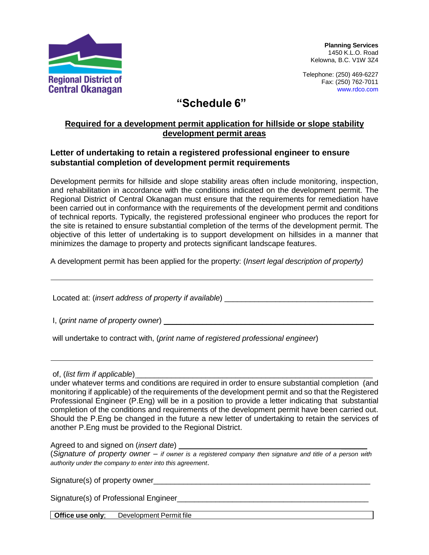

**Planning Services** 1450 K.L.O. Road Kelowna, B.C. V1W 3Z4

Telephone: (250) 469-6227 Fax: (250) 762-7011 [www.rdco.com](http://www.rdco.com/)

## **"Schedule 6"**

## **Required for a development permit application for hillside or slope stability development permit areas**

## **Letter of undertaking to retain a registered professional engineer to ensure substantial completion of development permit requirements**

Development permits for hillside and slope stability areas often include monitoring, inspection, and rehabilitation in accordance with the conditions indicated on the development permit. The Regional District of Central Okanagan must ensure that the requirements for remediation have been carried out in conformance with the requirements of the development permit and conditions of technical reports. Typically, the registered professional engineer who produces the report for the site is retained to ensure substantial completion of the terms of the development permit. The objective of this letter of undertaking is to support development on hillsides in a manner that minimizes the damage to property and protects significant landscape features.

A development permit has been applied for the property: (*Insert legal description of property)*

Located at: (*insert address of property if available*) \_\_\_\_\_\_\_\_\_\_\_\_\_\_\_\_\_\_\_\_\_\_\_\_\_\_\_\_\_\_\_\_\_\_\_

I, (*print name of property owner*) \_\_\_\_\_\_\_\_\_\_\_\_\_\_\_\_\_\_\_\_\_\_\_\_\_\_\_\_\_\_\_\_\_\_\_\_\_\_\_\_\_\_\_\_\_\_\_\_\_

will undertake to contract with, (*print name of registered professional engineer*)

of, (*list firm if applicable*)

under whatever terms and conditions are required in order to ensure substantial completion (and monitoring if applicable) of the requirements of the development permit and so that the Registered Professional Engineer (P.Eng) will be in a position to provide a letter indicating that substantial completion of the conditions and requirements of the development permit have been carried out. Should the P.Eng be changed in the future a new letter of undertaking to retain the services of another P.Eng must be provided to the Regional District.

Agreed to and signed on (*insert date*) \_\_\_\_\_\_

(*Signature of property owner – if owner is a registered company then signature and title of a person with authority under the company to enter into this agreement*.

Signature(s) of property owner

Signature(s) of Professional Engineer\_\_\_\_\_\_\_\_\_\_\_\_\_\_\_\_\_\_\_\_\_\_\_\_\_\_\_\_\_\_\_\_\_\_\_\_\_\_\_\_\_\_\_\_\_

**Office use only**; Development Permit file